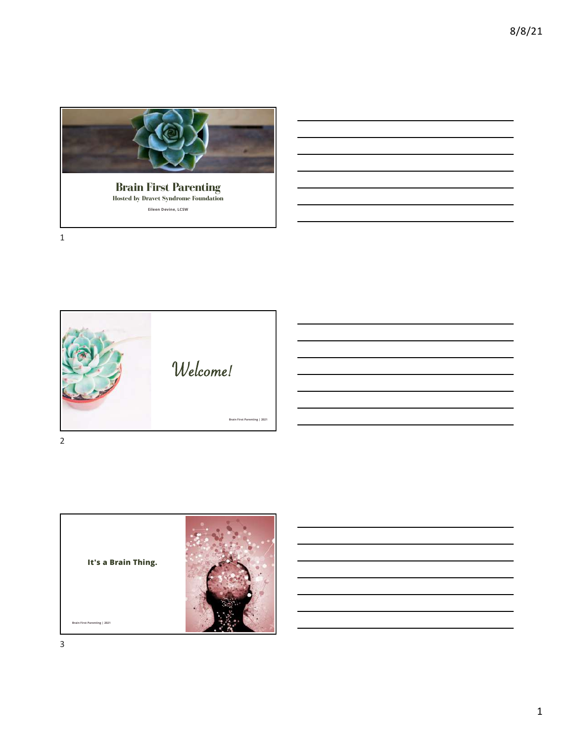

Brain First Parenting Hosted by Dravet Syndrome Foundation Eileen Devine**, LCSW**



It's a Brain Thing. Brain First Parenting | 2021

3

1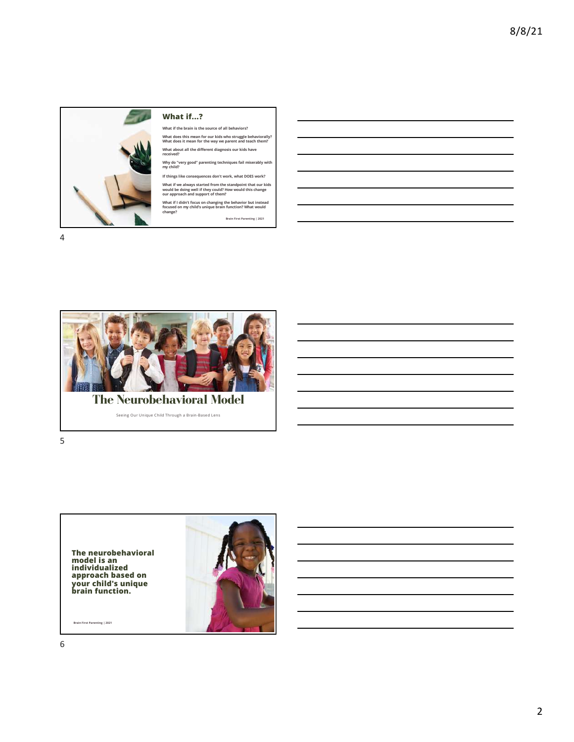

#### What if...?

What if the brain is the source of all behaviors? What does this mean for our kids who struggle behaviorally? What does it mean for the way we parent and teach them?

What about all the different diagnosis our kids have received?

Why do "very good" parenting techniques fail miserably with my child?

If things like consequences don't work, what DOES work?

What if we always started from the standpoint that our kids would be doing well if they could? How would this change our approach and support of them?

What if I didn't focus on changing the behavior but instead focused on my child's unique brain function? What would change?

Brain First Parenting | 2021





Seeing Our Unique Child Through a Brain-Based Lens

5

The neurobehavioral model is an<br>individualized approach based on your child's unique brain function.

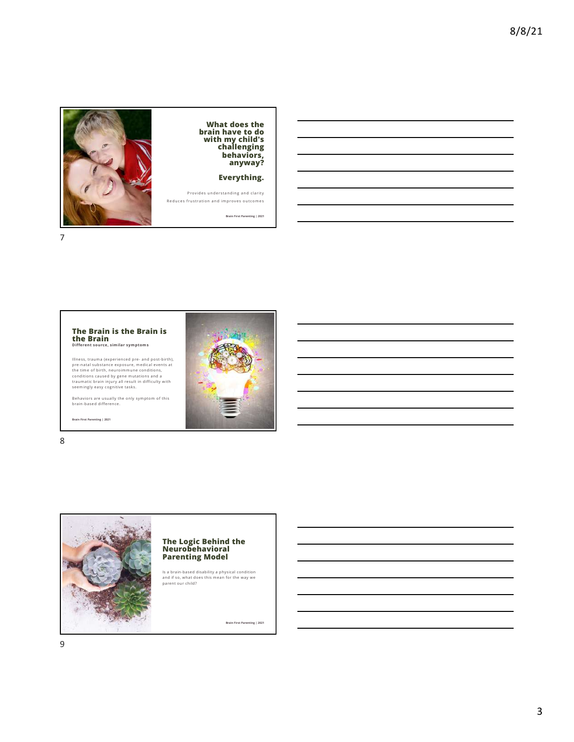

What does the brain have to do with my child's challenging behaviors, anyway?

Everything.

Brain First Parenting | 2021

7



lliness, trauma (experienced pre- and post-birth),<br>pre-natal substance exposure, medical events at<br>the time of birth, neuroimmune conditions,<br>conditions caused by gene mutations and a<br>traumatic brain injury all result in d

Behaviors are usually the only symptom of this brain-based difference.

Brain First Parenting | 2021

8



### The Logic Behind the Neurobehavioral Parenting Model

Is a brain-based disability a physical condition and if so, what does this mean for the way we parent our child?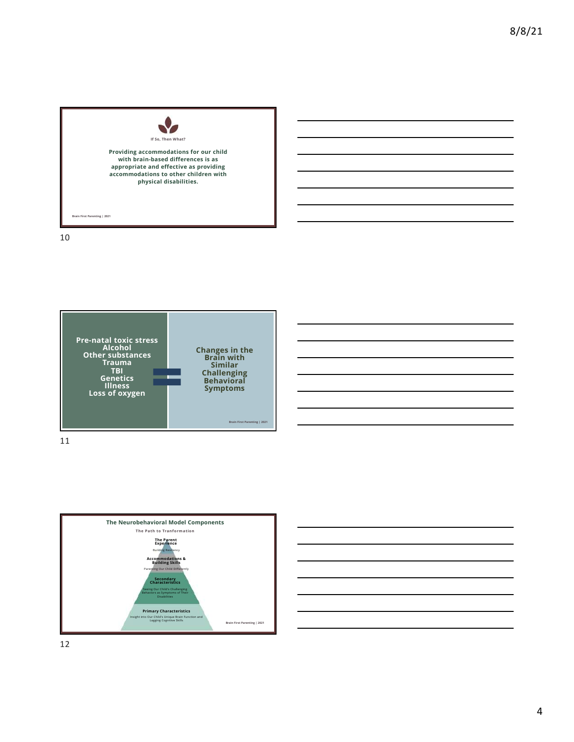

10





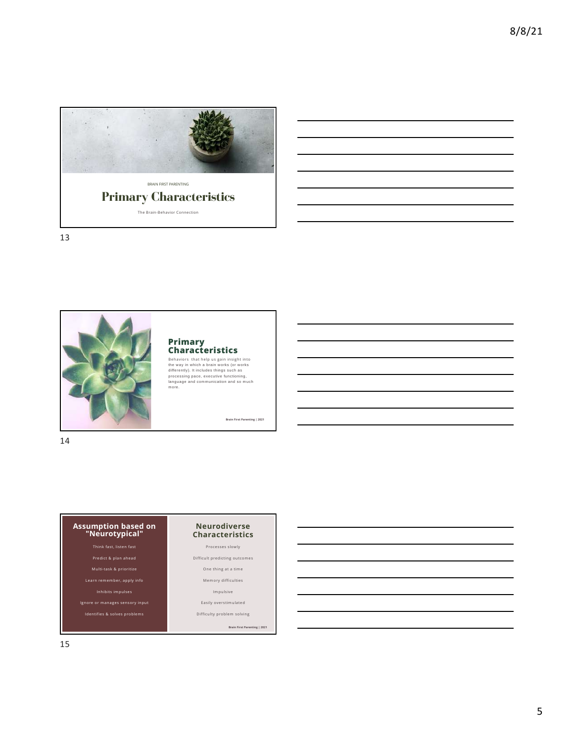

Primary Characteristics The Brain-Behavior Connection

13



# Primary<br>Characteristics

**Characteristics**<br>Behaviors that help us gain insight into<br>the way in which a brain works (or works<br>differently). It includes things such as<br>processing pace, executive functioning,<br>language and communication and so much<br>mo

Brain First Parenting | 2021

14

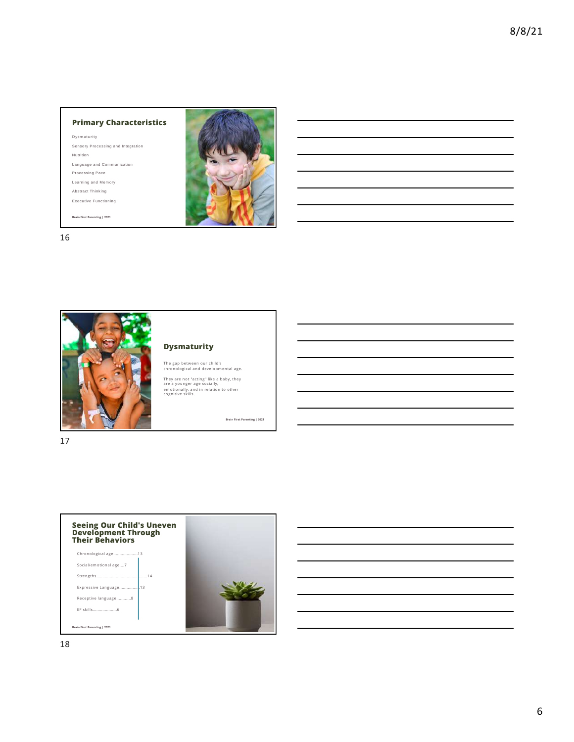#### Primary Characteristics

Dysmaturity Sensory Processing and Integration Nutrition Language and Communication Processing Pace Learning and Memory Abstract Thinking Executive Functioning

Brain First Parenting | 2021



16



#### Dysmaturity

The gap between our child's chronological and developmental age.

They are not "acting" like a baby, they<br>are a younger age socially,<br>emotionally, and in relation to other<br>cognitive skills.

Brain First Parenting | 2021

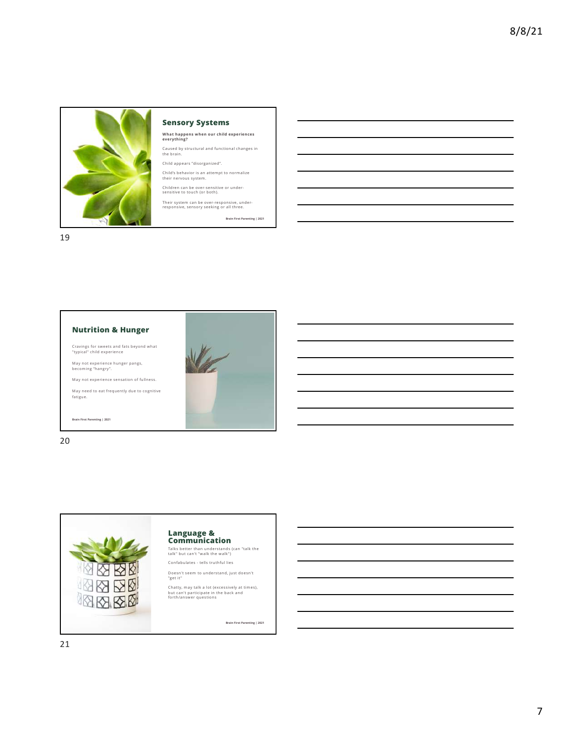

#### Sensory Systems

What happens when our child experiences everything?

Caused by structural and functional changes in the brain.

Child appears "disorganized". Child's behavior is an attempt to normalize

their nervous system.

Children can be over-sensitive or under-sensitive to touch (or both).

Their system can be over-responsive, under-responsive, sensory seeking or all three.

Brain First Parenting | 2021

19



Cravings for sweets and fats beyond what "typical" child experience

May not experience hunger pangs, becoming "hangry".

May not experience sensation of fullness. May need to eat frequently due to cognitive fatigue.

Brain First Parenting | 2021



20



# Language & Communication

Talks better than understands (can "talk the talk" but can't "walk the walk")

Confabulates - tells truthful lies

Doesn't seem to understand, just doesn't "get it"

Chatty, may talk a lot (excessively at times), but can't participate in the back and forth/answer questions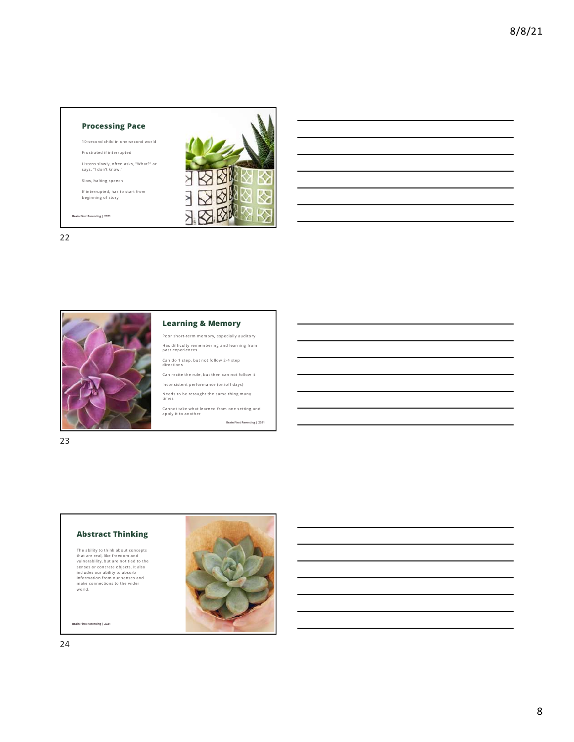#### Processing Pace

10-second child in one-second world

Frustrated if interrupted

Listens slowly, often asks, "What?" or says, "I don't know."

Slow, halting speech

If interrupted, has to start from beginning of story

Brain First Parenting | 2021

22



#### Learning & Memory

Poor short-term memory, especially auditory Has difficulty remembering and learning from past experiences

Can do 1 step, but not follow 2-4 step directions

Can recite the rule, but then can not follow it Inconsistent performance (on/off days)

Needs to be retaught the same thing many times

Cannot take what learned from one setting and apply it to another Brain First Parenting | 2021

烃 Ӯ

### 23

#### Abstract Thinking

The ability to think about concepts<br>that are real, like freedom and<br>vulnerability, but are not tied to the<br>senses or concrete objects. It also<br>includes our ability to absorb<br>information from our senses and<br>make connections

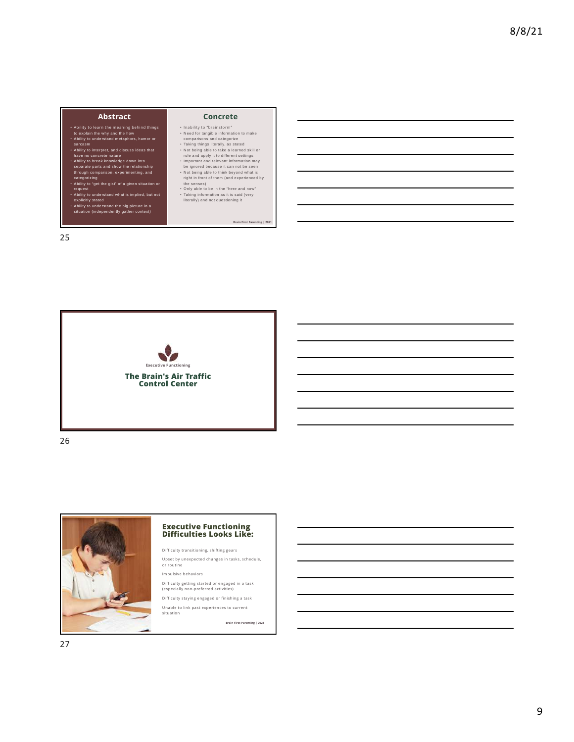#### Abstract

- Ability to learn the meaning behind things to explain the why and the how Ability to understand metaphors, humor or
- 
- 
- sarcasm<br>• Ability to interpret, and discuss ideas that<br>• Ability to break knowledge down into<br>• Ability to break knowledge down into<br>• Separate parts and show the relationship<br>• Categorizing<br>• Categorizing
- 
- 
- Ability to "get the gist" of a given situation or request Ability to understand what is implied, but not explicitly stated Ability to understand the big picture in a situation (independently gather context)
- 

25

#### Concrete

- 
- 
- 
- 
- 
- Inability to "trainstorm"<br>
in Nability Constant and calculated information to make<br>
comparisons and categorize<br>
Taking things literally as stated<br>  $\sim$  Not being able to take a learned skill or<br>
rule and apply it to diffe

Brain First Parenting | 2021



26



# Executive Functioning Difficulties Looks Like:

Difficulty transitioning, shifting gears

Upset by unexpected changes in tasks, schedule, or routine

Impulsive behaviors

Difficulty getting started or engaged in a task (especially non-preferred activities)

Difficulty staying engaged or finishing a task Unable to link past experiences to current

situation